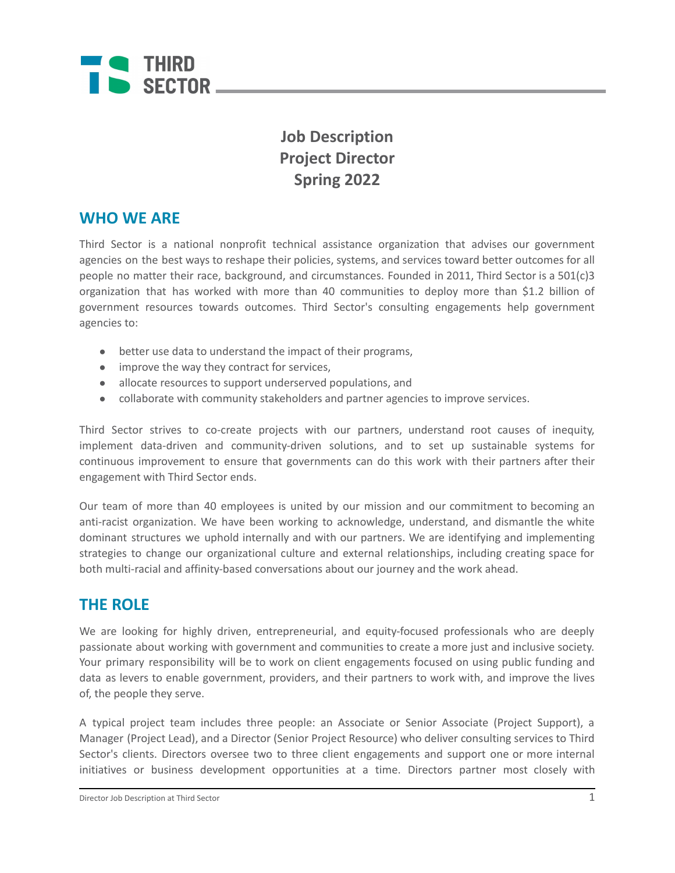

## **Job Description Project Director Spring 2022**

### **WHO WE ARE**

Third Sector is a national nonprofit technical assistance organization that advises our government agencies on the best ways to reshape their policies, systems, and services toward better outcomes for all people no matter their race, background, and circumstances. Founded in 2011, Third Sector is a 501(c)3 organization that has worked with more than 40 communities to deploy more than \$1.2 billion of government resources towards outcomes. Third Sector's consulting engagements help government agencies to:

- better use data to understand the impact of their programs,
- improve the way they contract for services,
- allocate resources to support underserved populations, and
- collaborate with community stakeholders and partner agencies to improve services.

Third Sector strives to co-create projects with our partners, understand root causes of inequity, implement data-driven and community-driven solutions, and to set up sustainable systems for continuous improvement to ensure that governments can do this work with their partners after their engagement with Third Sector ends.

Our team of more than 40 employees is united by our mission and our commitment to becoming an anti-racist organization. We have been working to acknowledge, understand, and dismantle the white dominant structures we uphold internally and with our partners. We are identifying and implementing strategies to change our organizational culture and external relationships, including creating space for both multi-racial and affinity-based conversations about our journey and the work ahead.

### **THE ROLE**

We are looking for highly driven, entrepreneurial, and equity-focused professionals who are deeply passionate about working with government and communities to create a more just and inclusive society. Your primary responsibility will be to work on client engagements focused on using public funding and data as levers to enable government, providers, and their partners to work with, and improve the lives of, the people they serve.

A typical project team includes three people: an Associate or Senior Associate (Project Support), a Manager (Project Lead), and a Director (Senior Project Resource) who deliver consulting services to Third Sector's clients. Directors oversee two to three client engagements and support one or more internal initiatives or business development opportunities at a time. Directors partner most closely with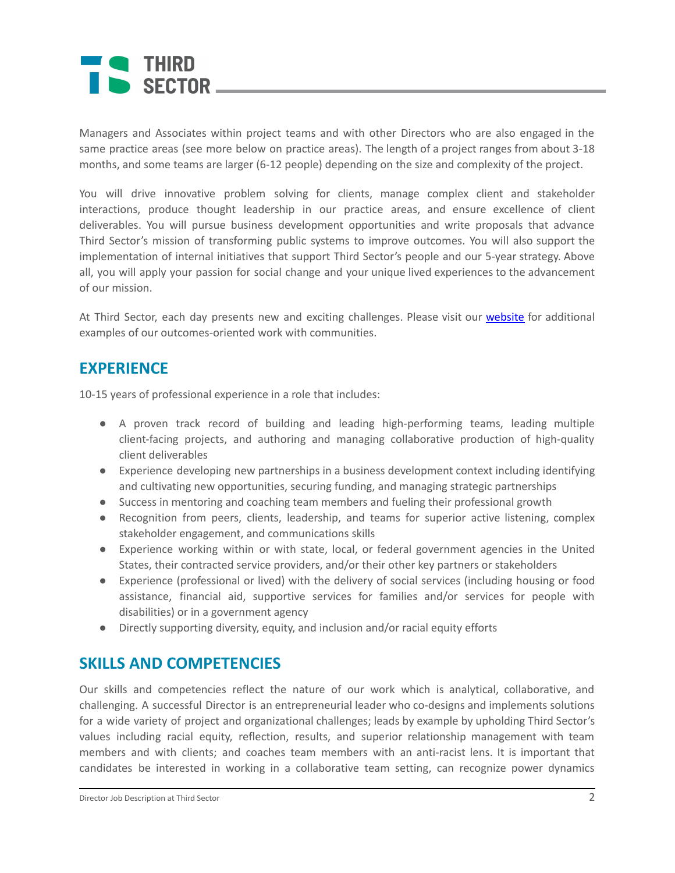# **THIRD** SECTOR

Managers and Associates within project teams and with other Directors who are also engaged in the same practice areas (see more below on practice areas). The length of a project ranges from about 3-18 months, and some teams are larger (6-12 people) depending on the size and complexity of the project.

You will drive innovative problem solving for clients, manage complex client and stakeholder interactions, produce thought leadership in our practice areas, and ensure excellence of client deliverables. You will pursue business development opportunities and write proposals that advance Third Sector's mission of transforming public systems to improve outcomes. You will also support the implementation of internal initiatives that support Third Sector's people and our 5-year strategy. Above all, you will apply your passion for social change and your unique lived experiences to the advancement of our mission.

At Third Sector, each day presents new and exciting challenges. Please visit our [website](https://www.thirdsectorcap.org/projects/) for additional examples of our outcomes-oriented work with communities.

### **EXPERIENCE**

10-15 years of professional experience in a role that includes:

- A proven track record of building and leading high-performing teams, leading multiple client-facing projects, and authoring and managing collaborative production of high-quality client deliverables
- Experience developing new partnerships in a business development context including identifying and cultivating new opportunities, securing funding, and managing strategic partnerships
- Success in mentoring and coaching team members and fueling their professional growth
- Recognition from peers, clients, leadership, and teams for superior active listening, complex stakeholder engagement, and communications skills
- Experience working within or with state, local, or federal government agencies in the United States, their contracted service providers, and/or their other key partners or stakeholders
- Experience (professional or lived) with the delivery of social services (including housing or food assistance, financial aid, supportive services for families and/or services for people with disabilities) or in a government agency
- Directly supporting diversity, equity, and inclusion and/or racial equity efforts

### **SKILLS AND COMPETENCIES**

Our skills and competencies reflect the nature of our work which is analytical, collaborative, and challenging. A successful Director is an entrepreneurial leader who co-designs and implements solutions for a wide variety of project and organizational challenges; leads by example by upholding Third Sector's values including racial equity, reflection, results, and superior relationship management with team members and with clients; and coaches team members with an anti-racist lens. It is important that candidates be interested in working in a collaborative team setting, can recognize power dynamics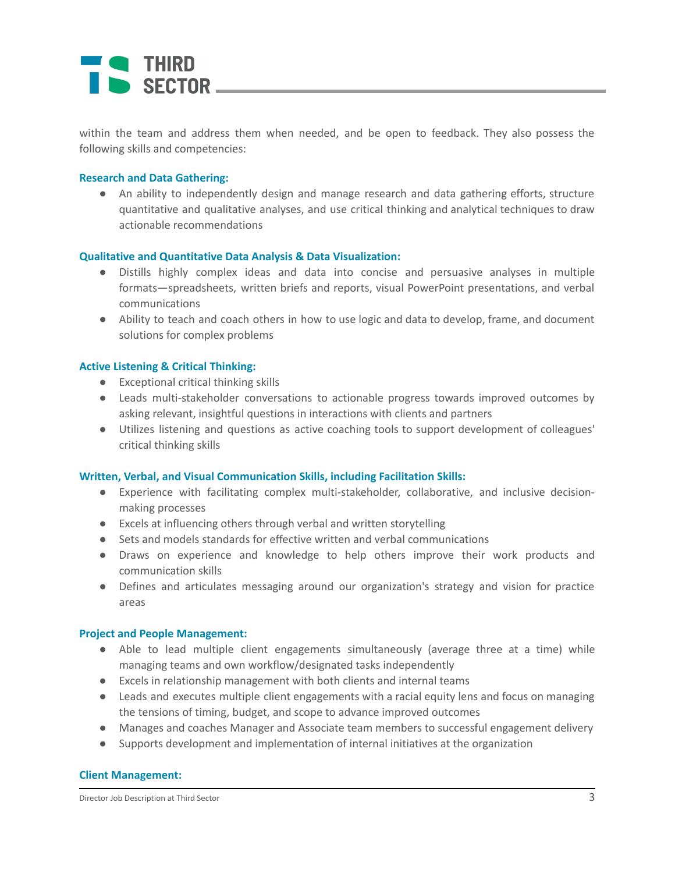# I THIRD SECTOR \_

within the team and address them when needed, and be open to feedback. They also possess the following skills and competencies:

#### **Research and Data Gathering:**

● An ability to independently design and manage research and data gathering efforts, structure quantitative and qualitative analyses, and use critical thinking and analytical techniques to draw actionable recommendations

#### **Qualitative and Quantitative Data Analysis & Data Visualization:**

- Distills highly complex ideas and data into concise and persuasive analyses in multiple formats—spreadsheets, written briefs and reports, visual PowerPoint presentations, and verbal communications
- Ability to teach and coach others in how to use logic and data to develop, frame, and document solutions for complex problems

#### **Active Listening & Critical Thinking:**

- Exceptional critical thinking skills
- Leads multi-stakeholder conversations to actionable progress towards improved outcomes by asking relevant, insightful questions in interactions with clients and partners
- Utilizes listening and questions as active coaching tools to support development of colleagues' critical thinking skills

#### **Written, Verbal, and Visual Communication Skills, including Facilitation Skills:**

- Experience with facilitating complex multi-stakeholder, collaborative, and inclusive decisionmaking processes
- Excels at influencing others through verbal and written storytelling
- Sets and models standards for effective written and verbal communications
- Draws on experience and knowledge to help others improve their work products and communication skills
- Defines and articulates messaging around our organization's strategy and vision for practice areas

#### **Project and People Management:**

- Able to lead multiple client engagements simultaneously (average three at a time) while managing teams and own workflow/designated tasks independently
- Excels in relationship management with both clients and internal teams
- Leads and executes multiple client engagements with a racial equity lens and focus on managing the tensions of timing, budget, and scope to advance improved outcomes
- Manages and coaches Manager and Associate team members to successful engagement delivery
- Supports development and implementation of internal initiatives at the organization

#### **Client Management:**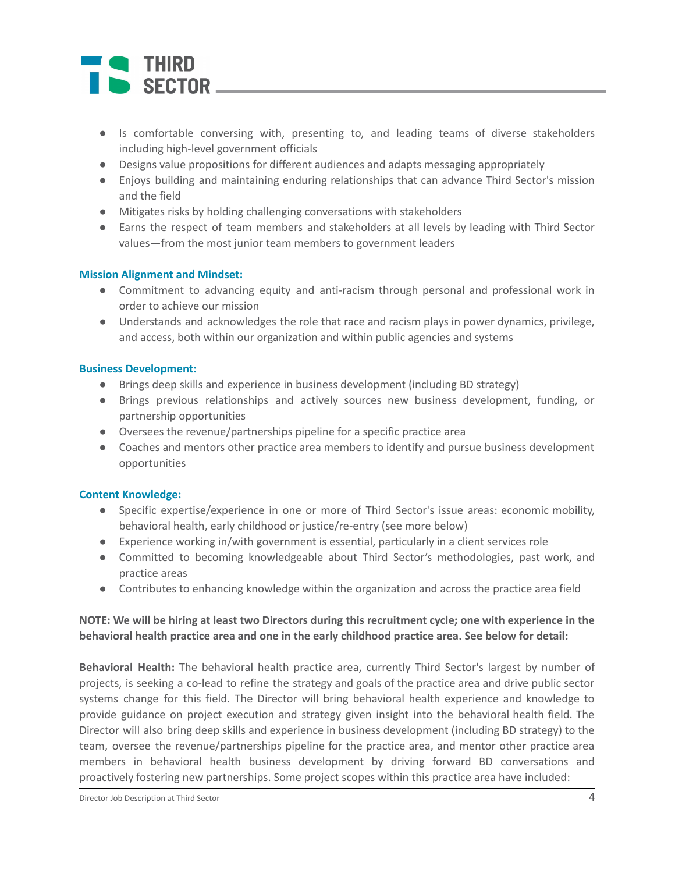# - THIRD SECTOR

- Is comfortable conversing with, presenting to, and leading teams of diverse stakeholders including high-level government officials
- Designs value propositions for different audiences and adapts messaging appropriately
- Enjoys building and maintaining enduring relationships that can advance Third Sector's mission and the field
- Mitigates risks by holding challenging conversations with stakeholders
- Earns the respect of team members and stakeholders at all levels by leading with Third Sector values—from the most junior team members to government leaders

#### **Mission Alignment and Mindset:**

- Commitment to advancing equity and anti-racism through personal and professional work in order to achieve our mission
- Understands and acknowledges the role that race and racism plays in power dynamics, privilege, and access, both within our organization and within public agencies and systems

#### **Business Development:**

- **●** Brings deep skills and experience in business development (including BD strategy)
- **●** Brings previous relationships and actively sources new business development, funding, or partnership opportunities
- **●** Oversees the revenue/partnerships pipeline for a specific practice area
- **●** Coaches and mentors other practice area members to identify and pursue business development opportunities

#### **Content Knowledge:**

- Specific expertise/experience in one or more of Third Sector's issue areas: economic mobility, behavioral health, early childhood or justice/re-entry (see more below)
- Experience working in/with government is essential, particularly in a client services role
- Committed to becoming knowledgeable about Third Sector's methodologies, past work, and practice areas
- Contributes to enhancing knowledge within the organization and across the practice area field

#### NOTE: We will be hiring at least two Directors during this recruitment cycle; one with experience in the **behavioral health practice area and one in the early childhood practice area. See below for detail:**

**Behavioral Health:** The behavioral health practice area, currently Third Sector's largest by number of projects, is seeking a co-lead to refine the strategy and goals of the practice area and drive public sector systems change for this field. The Director will bring behavioral health experience and knowledge to provide guidance on project execution and strategy given insight into the behavioral health field. The Director will also bring deep skills and experience in business development (including BD strategy) to the team, oversee the revenue/partnerships pipeline for the practice area, and mentor other practice area members in behavioral health business development by driving forward BD conversations and proactively fostering new partnerships. Some project scopes within this practice area have included: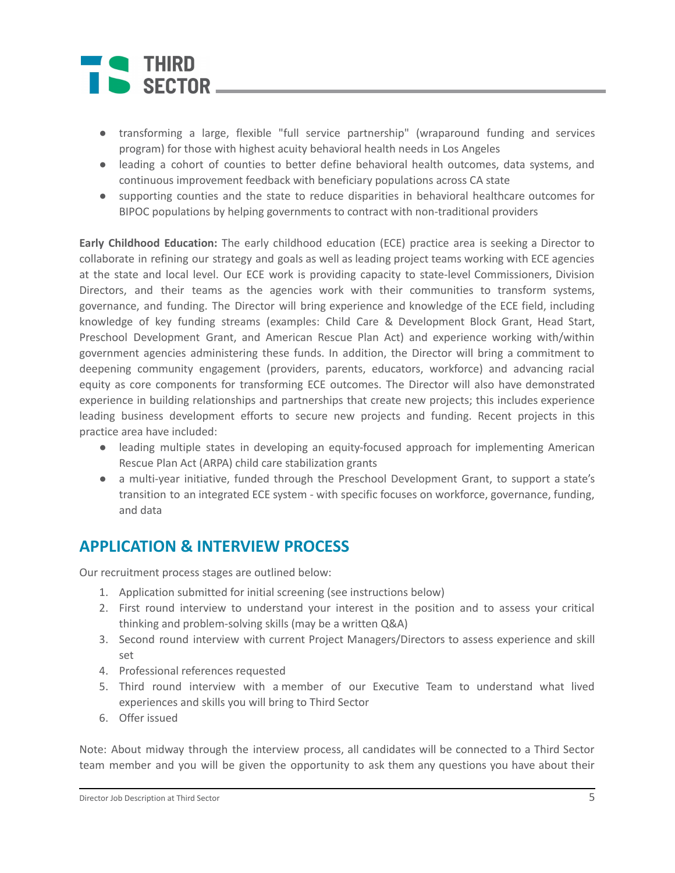# **THIRD** SECTOR

- transforming a large, flexible "full service partnership" (wraparound funding and services program) for those with highest acuity behavioral health needs in Los Angeles
- leading a cohort of counties to better define behavioral health outcomes, data systems, and continuous improvement feedback with beneficiary populations across CA state
- supporting counties and the state to reduce disparities in behavioral healthcare outcomes for BIPOC populations by helping governments to contract with non-traditional providers

**Early Childhood Education:** The early childhood education (ECE) practice area is seeking a Director to collaborate in refining our strategy and goals as well as leading project teams working with ECE agencies at the state and local level. Our ECE work is providing capacity to state-level Commissioners, Division Directors, and their teams as the agencies work with their communities to transform systems, governance, and funding. The Director will bring experience and knowledge of the ECE field, including knowledge of key funding streams (examples: Child Care & Development Block Grant, Head Start, Preschool Development Grant, and American Rescue Plan Act) and experience working with/within government agencies administering these funds. In addition, the Director will bring a commitment to deepening community engagement (providers, parents, educators, workforce) and advancing racial equity as core components for transforming ECE outcomes. The Director will also have demonstrated experience in building relationships and partnerships that create new projects; this includes experience leading business development efforts to secure new projects and funding. Recent projects in this practice area have included:

- leading multiple states in developing an equity-focused approach for implementing American Rescue Plan Act (ARPA) child care stabilization grants
- a multi-year initiative, funded through the Preschool Development Grant, to support a state's transition to an integrated ECE system - with specific focuses on workforce, governance, funding, and data

### **APPLICATION & INTERVIEW PROCESS**

Our recruitment process stages are outlined below:

- 1. Application submitted for initial screening (see instructions below)
- 2. First round interview to understand your interest in the position and to assess your critical thinking and problem-solving skills (may be a written Q&A)
- 3. Second round interview with current Project Managers/Directors to assess experience and skill set
- 4. Professional references requested
- 5. Third round interview with a member of our Executive Team to understand what lived experiences and skills you will bring to Third Sector
- 6. Offer issued

Note: About midway through the interview process, all candidates will be connected to a Third Sector team member and you will be given the opportunity to ask them any questions you have about their